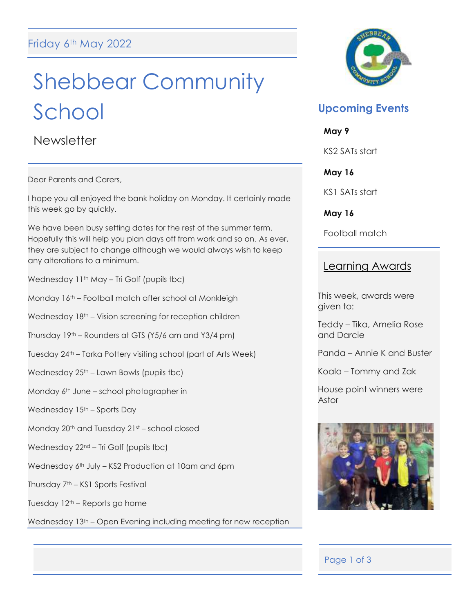# Shebbear Community School

**Newsletter** 

Dear Parents and Carers,

I hope you all enjoyed the bank holiday on Monday. It certainly made this week go by quickly.

We have been busy setting dates for the rest of the summer term. Hopefully this will help you plan days off from work and so on. As ever, they are subject to change although we would always wish to keep any alterations to a minimum.

Wednesday 11<sup>th</sup> May – Tri Golf (pupils tbc)

Monday 16th – Football match after school at Monkleigh

Wednesday 18<sup>th</sup> – Vision screening for reception children

Thursday 19th – Rounders at GTS (Y5/6 am and Y3/4 pm)

Tuesday 24th – Tarka Pottery visiting school (part of Arts Week)

Wednesday 25<sup>th</sup> – Lawn Bowls (pupils tbc)

Monday 6<sup>th</sup> June – school photographer in

Wednesday 15<sup>th</sup> – Sports Day

Monday 20<sup>th</sup> and Tuesday 21st - school closed

Wednesday 22nd – Tri Golf (pupils tbc)

Wednesday 6<sup>th</sup> July – KS2 Production at 10am and 6pm

Thursday 7<sup>th</sup> – KS1 Sports Festival

Tuesday 12th – Reports go home

Wednesday 13<sup>th</sup> – Open Evening including meeting for new reception



# **Upcoming Events**

**May 9**

KS2 SATs start

**May 16**

KS1 SATs start

**May 16**

Football match

# Learning Awards

This week, awards were given to:

Teddy – Tika, Amelia Rose and Darcie

Panda – Annie K and Buster

Koala – Tommy and Zak

House point winners were Astor



## Page 1 of 3

Ī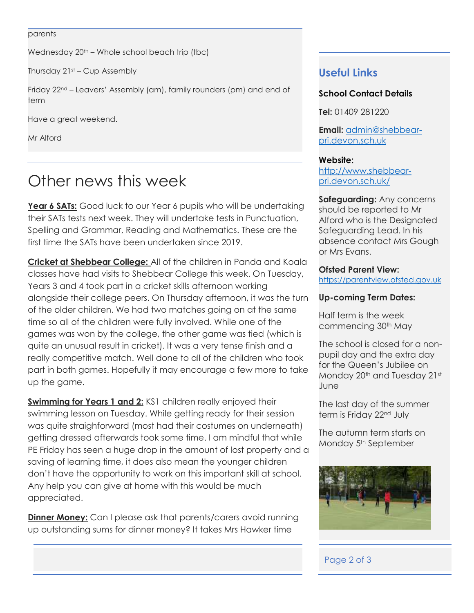#### parents

Wednesday  $20<sup>th</sup>$  – Whole school beach trip (tbc)

Thursday  $21st$  – Cup Assembly

Friday 22<sup>nd</sup> – Leavers' Assembly (am), family rounders (pm) and end of term

Have a great weekend.

Mr Alford

# Other news this week

**Year 6 SATs:** Good luck to our Year 6 pupils who will be undertaking their SATs tests next week. They will undertake tests in Punctuation, Spelling and Grammar, Reading and Mathematics. These are the first time the SATs have been undertaken since 2019.

**Cricket at Shebbear College:** All of the children in Panda and Koala classes have had visits to Shebbear College this week. On Tuesday, Years 3 and 4 took part in a cricket skills afternoon working alongside their college peers. On Thursday afternoon, it was the turn of the older children. We had two matches going on at the same time so all of the children were fully involved. While one of the games was won by the college, the other game was tied (which is quite an unusual result in cricket). It was a very tense finish and a really competitive match. Well done to all of the children who took part in both games. Hopefully it may encourage a few more to take up the game.

**Swimming for Years 1 and 2:** KS1 children really enjoyed their swimming lesson on Tuesday. While getting ready for their session was quite straighforward (most had their costumes on underneath) getting dressed afterwards took some time. I am mindful that while PE Friday has seen a huge drop in the amount of lost property and a saving of learning time, it does also mean the younger children don't have the opportunity to work on this important skill at school. Any help you can give at home with this would be much appreciated.

**Dinner Money:** Can I please ask that parents/carers avoid running up outstanding sums for dinner money? It takes Mrs Hawker time

# **Useful Links**

#### **School Contact Details**

**Tel:** 01409 281220

**Email:** [admin@shebbear](mailto:admin@shebbear-pri.devon.sch.uk)[pri.devon.sch.uk](mailto:admin@shebbear-pri.devon.sch.uk)

#### **Website:**

[http://www.shebbear](http://www.shebbear-pri.devon.sch.uk/)[pri.devon.sch.uk/](http://www.shebbear-pri.devon.sch.uk/)

#### **Safeguarding:** Any concerns should be reported to Mr Alford who is the Designated Safeguarding Lead. In his absence contact Mrs Gough or Mrs Evans.

#### **Ofsted Parent View:**

[https://parentview.ofsted.gov.uk](https://parentview.ofsted.gov.uk/)

#### **Up-coming Term Dates:**

Half term is the week commencing 30<sup>th</sup> May

The school is closed for a nonpupil day and the extra day for the Queen's Jubilee on Monday 20<sup>th</sup> and Tuesday 21st June

The last day of the summer term is Friday 22<sup>nd</sup> July

The autumn term starts on Monday 5<sup>th</sup> September



## Page 2 of 3

l